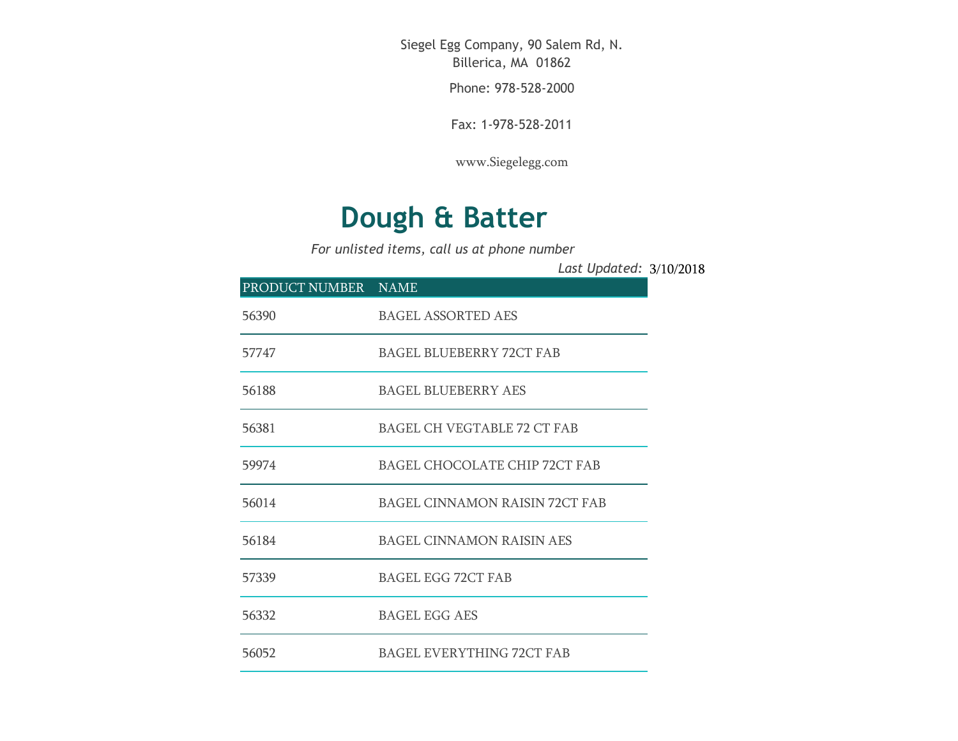Siegel Egg Company, 90 Salem Rd, N. Billerica, MA 01862

Phone: 978-528-2000

Fax: 1-978-528-2011

[www.Siegelegg.com](http://www.siegelegg.com/)

## **Dough & Batter**

*For unlisted items, call us at phone number*

3/10/2018 *Last Updated:*

| PRODUCT NUMBER NAME |                                       |
|---------------------|---------------------------------------|
| 56390               | <b>BAGEL ASSORTED AES</b>             |
| 57747               | <b>BAGEL BLUEBERRY 72CT FAB</b>       |
| 56188               | <b>BAGEL BLUEBERRY AES</b>            |
| 56381               | <b>BAGEL CH VEGTABLE 72 CT FAB</b>    |
| 59974               | <b>BAGEL CHOCOLATE CHIP 72CT FAB</b>  |
| 56014               | <b>BAGEL CINNAMON RAISIN 72CT FAB</b> |
| 56184               | <b>BAGEL CINNAMON RAISIN AES</b>      |
| 57339               | <b>BAGEL EGG 72CT FAB</b>             |
| 56332               | <b>BAGEL EGG AES</b>                  |
| 56052               | <b>BAGEL EVERYTHING 72CT FAB</b>      |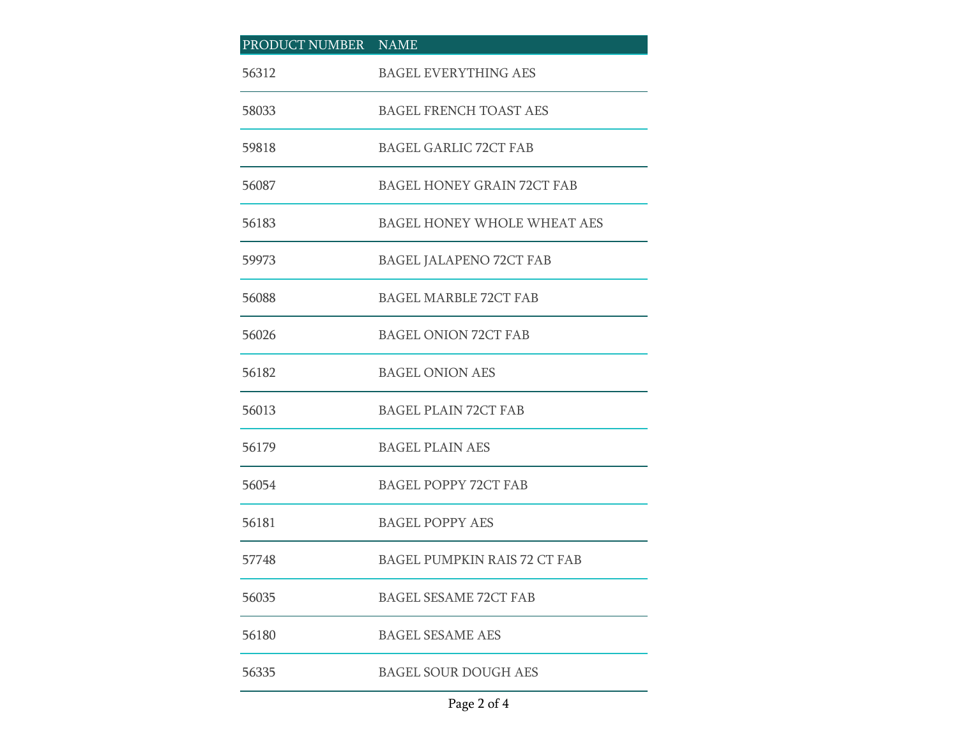| PRODUCT NUMBER NAME |                                     |
|---------------------|-------------------------------------|
| 56312               | <b>BAGEL EVERYTHING AES</b>         |
| 58033               | BAGEL FRENCH TOAST AES              |
| 59818               | <b>BAGEL GARLIC 72CT FAB</b>        |
| 56087               | <b>BAGEL HONEY GRAIN 72CT FAB</b>   |
| 56183               | BAGEL HONEY WHOLE WHEAT AES         |
| 59973               | BAGEL JALAPENO 72CT FAB             |
| 56088               | <b>BAGEL MARBLE 72CT FAB</b>        |
| 56026               | <b>BAGEL ONION 72CT FAB</b>         |
| 56182               | <b>BAGEL ONION AES</b>              |
| 56013               | <b>BAGEL PLAIN 72CT FAB</b>         |
| 56179               | <b>BAGEL PLAIN AES</b>              |
| 56054               | <b>BAGEL POPPY 72CT FAB</b>         |
| 56181               | <b>BAGEL POPPY AES</b>              |
| 57748               | <b>BAGEL PUMPKIN RAIS 72 CT FAB</b> |
| 56035               | <b>BAGEL SESAME 72CT FAB</b>        |
| 56180               | <b>BAGEL SESAME AES</b>             |
| 56335               | <b>BAGEL SOUR DOUGH AES</b>         |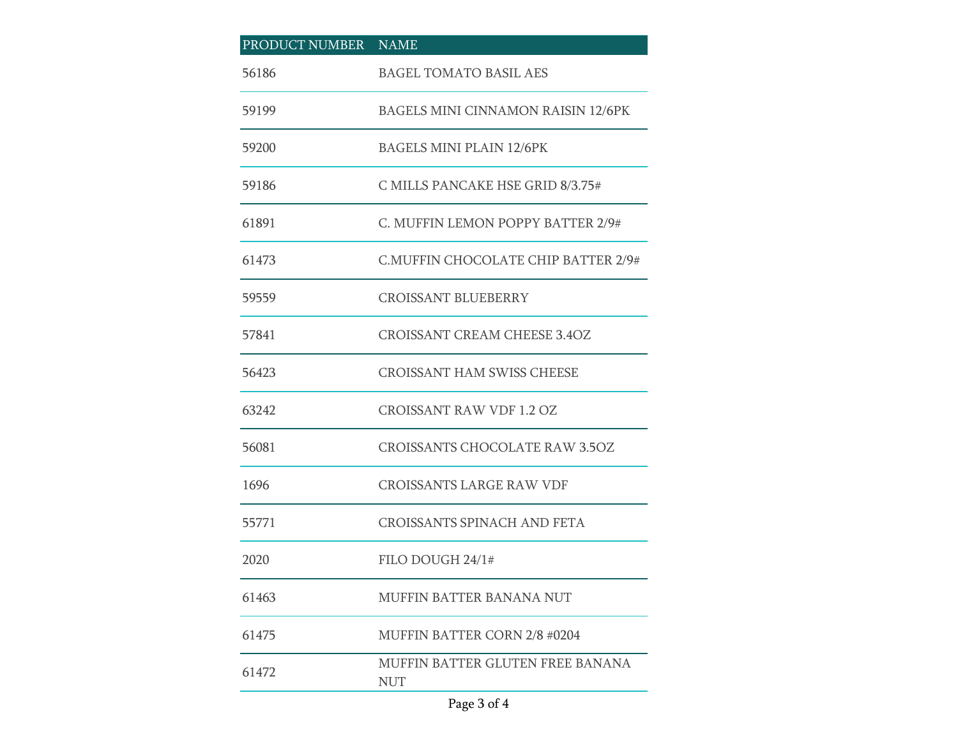| PRODUCT NUMBER NAME |                                                |
|---------------------|------------------------------------------------|
| 56186               | <b>BAGEL TOMATO BASIL AES</b>                  |
| 59199               | <b>BAGELS MINI CINNAMON RAISIN 12/6PK</b>      |
| 59200               | <b>BAGELS MINI PLAIN 12/6PK</b>                |
| 59186               | C MILLS PANCAKE HSE GRID 8/3.75#               |
| 61891               | C. MUFFIN LEMON POPPY BATTER 2/9#              |
| 61473               | C.MUFFIN CHOCOLATE CHIP BATTER 2/9#            |
| 59559               | <b>CROISSANT BLUEBERRY</b>                     |
| 57841               | <b>CROISSANT CREAM CHEESE 3.4OZ</b>            |
| 56423               | <b>CROISSANT HAM SWISS CHEESE</b>              |
| 63242               | <b>CROISSANT RAW VDF 1.2 OZ</b>                |
| 56081               | <b>CROISSANTS CHOCOLATE RAW 3.5OZ</b>          |
| 1696                | <b>CROISSANTS LARGE RAW VDF</b>                |
| 55771               | <b>CROISSANTS SPINACH AND FETA</b>             |
| 2020                | FILO DOUGH 24/1#                               |
| 61463               | <b>MUFFIN BATTER BANANA NUT</b>                |
| 61475               | <b>MUFFIN BATTER CORN 2/8 #0204</b>            |
| 61472               | MUFFIN BATTER GLUTEN FREE BANANA<br><b>NUT</b> |

## Page 3 of 4